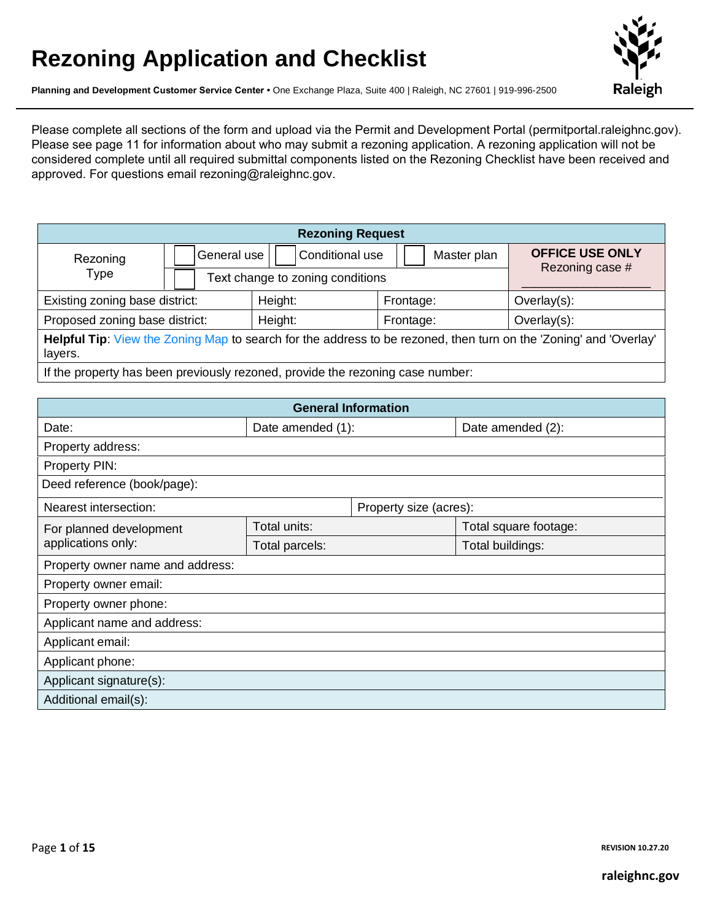# **Rezoning Application and Checklist**



**Planning and Development Customer Service Center •** One Exchange Plaza, Suite 400 | Raleigh, NC 27601 | 919-996-2500

Please complete all sections of the form and upload via the Permit and Development Portal (permitportal.raleighnc.gov). Please see page 11 for information about who may submit a rezoning application. A rezoning application will not be considered complete until all required submittal components listed on the Rezoning Checklist have been received and approved. For questions email rezoning@raleighnc.gov.

| <b>Rezoning Request</b>                                                                                                      |                                               |                                  |                                           |                |  |
|------------------------------------------------------------------------------------------------------------------------------|-----------------------------------------------|----------------------------------|-------------------------------------------|----------------|--|
| Rezoning                                                                                                                     | Conditional use<br>General use<br>Master plan |                                  | <b>OFFICE USE ONLY</b><br>Rezoning case # |                |  |
| Type                                                                                                                         |                                               | Text change to zoning conditions |                                           |                |  |
| Existing zoning base district:                                                                                               |                                               | Height:                          | Frontage:                                 | Overlay(s):    |  |
| Proposed zoning base district:                                                                                               |                                               | Height:<br>Frontage:             |                                           | $Overlay(s)$ : |  |
| Helpful Tip: View the Zoning Map to search for the address to be rezoned, then turn on the 'Zoning' and 'Overlay'<br>layers. |                                               |                                  |                                           |                |  |
| If the property has been previously rezoned, provide the rezoning case number:                                               |                                               |                                  |                                           |                |  |

| <b>General Information</b>       |                   |                        |                       |  |
|----------------------------------|-------------------|------------------------|-----------------------|--|
| Date:                            | Date amended (1): |                        | Date amended (2):     |  |
| Property address:                |                   |                        |                       |  |
| Property PIN:                    |                   |                        |                       |  |
| Deed reference (book/page):      |                   |                        |                       |  |
| Nearest intersection:            |                   | Property size (acres): |                       |  |
| For planned development          | Total units:      |                        | Total square footage: |  |
| applications only:               | Total parcels:    |                        | Total buildings:      |  |
| Property owner name and address: |                   |                        |                       |  |
| Property owner email:            |                   |                        |                       |  |
| Property owner phone:            |                   |                        |                       |  |
| Applicant name and address:      |                   |                        |                       |  |
| Applicant email:                 |                   |                        |                       |  |
| Applicant phone:                 |                   |                        |                       |  |
| Applicant signature(s):          |                   |                        |                       |  |
| Additional email(s):             |                   |                        |                       |  |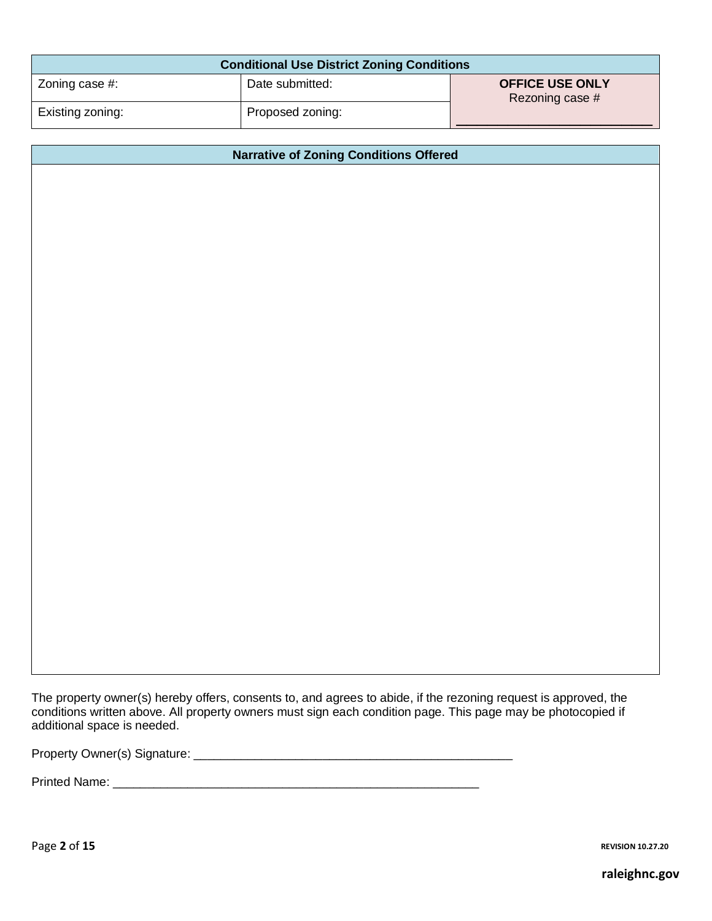| <b>Conditional Use District Zoning Conditions</b> |                  |                                           |  |  |
|---------------------------------------------------|------------------|-------------------------------------------|--|--|
| Zoning case #:                                    | Date submitted:  | <b>OFFICE USE ONLY</b><br>Rezoning case # |  |  |
| Existing zoning:                                  | Proposed zoning: |                                           |  |  |

#### **Narrative of Zoning Conditions Offered**

The property owner(s) hereby offers, consents to, and agrees to abide, if the rezoning request is approved, the conditions written above. All property owners must sign each condition page. This page may be photocopied if additional space is needed.

Property Owner(s) Signature: \_\_\_\_\_\_\_\_\_\_\_\_\_\_\_\_\_\_\_\_\_\_\_\_\_\_\_\_\_\_\_\_\_\_\_\_\_\_\_\_\_\_\_\_\_\_\_

Printed Name: \_\_\_\_\_\_\_\_\_\_\_\_\_\_\_\_\_\_\_\_\_\_\_\_\_\_\_\_\_\_\_\_\_\_\_\_\_\_\_\_\_\_\_\_\_\_\_\_\_\_\_\_\_\_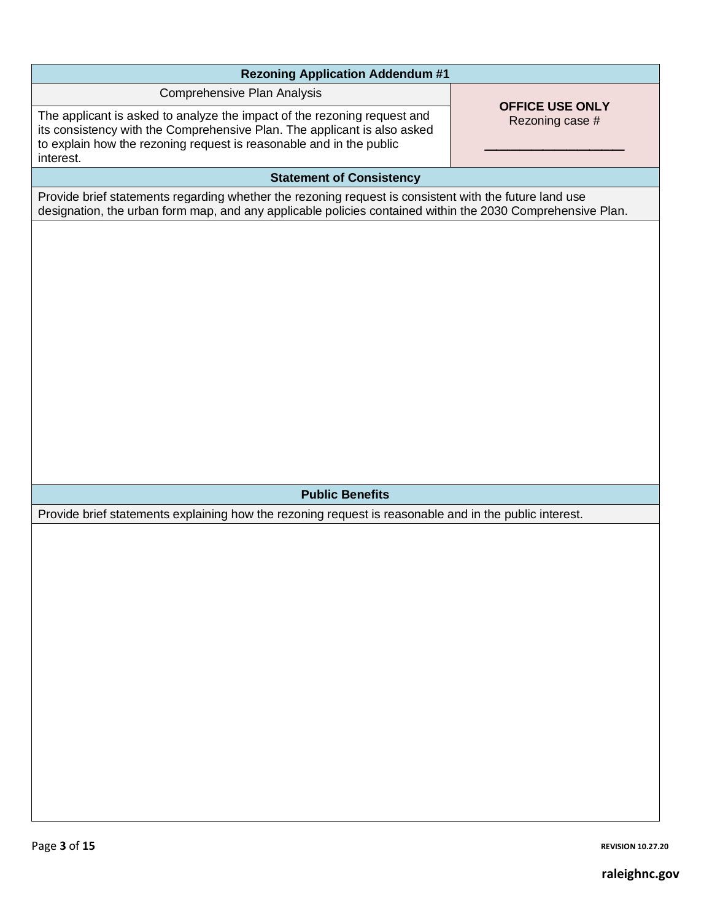| <b>Rezoning Application Addendum #1</b>                                                                                                                                                                                                  |                                           |  |  |
|------------------------------------------------------------------------------------------------------------------------------------------------------------------------------------------------------------------------------------------|-------------------------------------------|--|--|
| Comprehensive Plan Analysis                                                                                                                                                                                                              |                                           |  |  |
| The applicant is asked to analyze the impact of the rezoning request and<br>its consistency with the Comprehensive Plan. The applicant is also asked<br>to explain how the rezoning request is reasonable and in the public<br>interest. | <b>OFFICE USE ONLY</b><br>Rezoning case # |  |  |
| <b>Statement of Consistency</b>                                                                                                                                                                                                          |                                           |  |  |
| Provide brief statements regarding whether the rezoning request is consistent with the future land use<br>designation, the urban form map, and any applicable policies contained within the 2030 Comprehensive Plan.                     |                                           |  |  |
|                                                                                                                                                                                                                                          |                                           |  |  |
| <b>Public Benefits</b>                                                                                                                                                                                                                   |                                           |  |  |
| Provide brief statements explaining how the rezoning request is reasonable and in the public interest.                                                                                                                                   |                                           |  |  |
|                                                                                                                                                                                                                                          |                                           |  |  |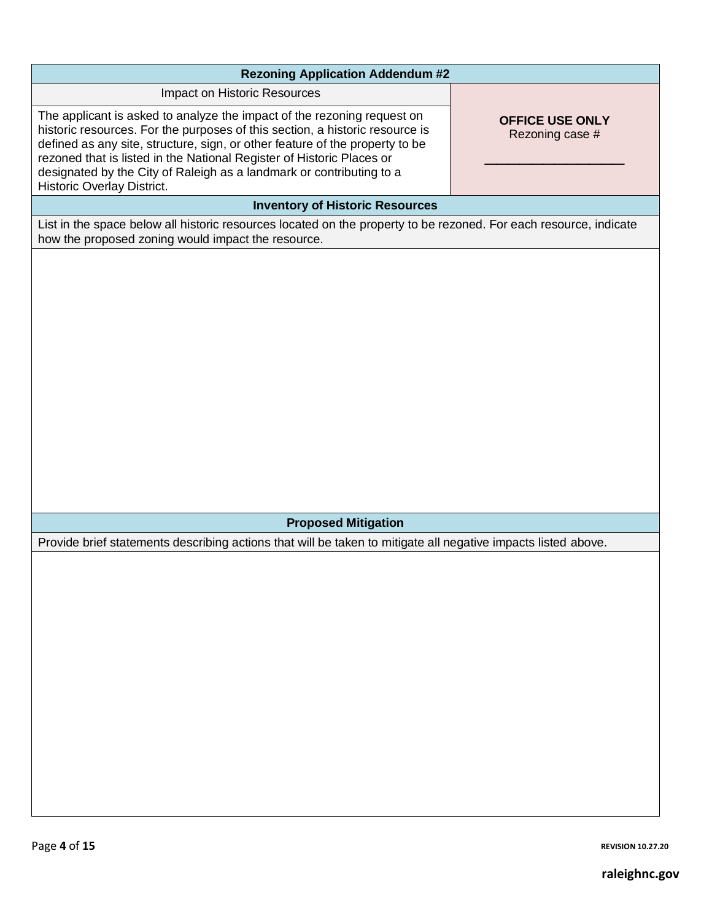| <b>Rezoning Application Addendum #2</b>                                                                                                                                                                                                                                                                                                                                                                                                                             |
|---------------------------------------------------------------------------------------------------------------------------------------------------------------------------------------------------------------------------------------------------------------------------------------------------------------------------------------------------------------------------------------------------------------------------------------------------------------------|
| Impact on Historic Resources                                                                                                                                                                                                                                                                                                                                                                                                                                        |
| The applicant is asked to analyze the impact of the rezoning request on<br><b>OFFICE USE ONLY</b><br>historic resources. For the purposes of this section, a historic resource is<br>Rezoning case #<br>defined as any site, structure, sign, or other feature of the property to be<br>rezoned that is listed in the National Register of Historic Places or<br>designated by the City of Raleigh as a landmark or contributing to a<br>Historic Overlay District. |
| <b>Inventory of Historic Resources</b>                                                                                                                                                                                                                                                                                                                                                                                                                              |
| List in the space below all historic resources located on the property to be rezoned. For each resource, indicate<br>how the proposed zoning would impact the resource.                                                                                                                                                                                                                                                                                             |
|                                                                                                                                                                                                                                                                                                                                                                                                                                                                     |
|                                                                                                                                                                                                                                                                                                                                                                                                                                                                     |
|                                                                                                                                                                                                                                                                                                                                                                                                                                                                     |
|                                                                                                                                                                                                                                                                                                                                                                                                                                                                     |
|                                                                                                                                                                                                                                                                                                                                                                                                                                                                     |
|                                                                                                                                                                                                                                                                                                                                                                                                                                                                     |
|                                                                                                                                                                                                                                                                                                                                                                                                                                                                     |
|                                                                                                                                                                                                                                                                                                                                                                                                                                                                     |
|                                                                                                                                                                                                                                                                                                                                                                                                                                                                     |
|                                                                                                                                                                                                                                                                                                                                                                                                                                                                     |
|                                                                                                                                                                                                                                                                                                                                                                                                                                                                     |
| <b>Proposed Mitigation</b>                                                                                                                                                                                                                                                                                                                                                                                                                                          |
| Provide brief statements describing actions that will be taken to mitigate all negative impacts listed above.                                                                                                                                                                                                                                                                                                                                                       |
|                                                                                                                                                                                                                                                                                                                                                                                                                                                                     |
|                                                                                                                                                                                                                                                                                                                                                                                                                                                                     |
|                                                                                                                                                                                                                                                                                                                                                                                                                                                                     |
|                                                                                                                                                                                                                                                                                                                                                                                                                                                                     |
|                                                                                                                                                                                                                                                                                                                                                                                                                                                                     |
|                                                                                                                                                                                                                                                                                                                                                                                                                                                                     |
|                                                                                                                                                                                                                                                                                                                                                                                                                                                                     |
|                                                                                                                                                                                                                                                                                                                                                                                                                                                                     |
|                                                                                                                                                                                                                                                                                                                                                                                                                                                                     |
|                                                                                                                                                                                                                                                                                                                                                                                                                                                                     |
|                                                                                                                                                                                                                                                                                                                                                                                                                                                                     |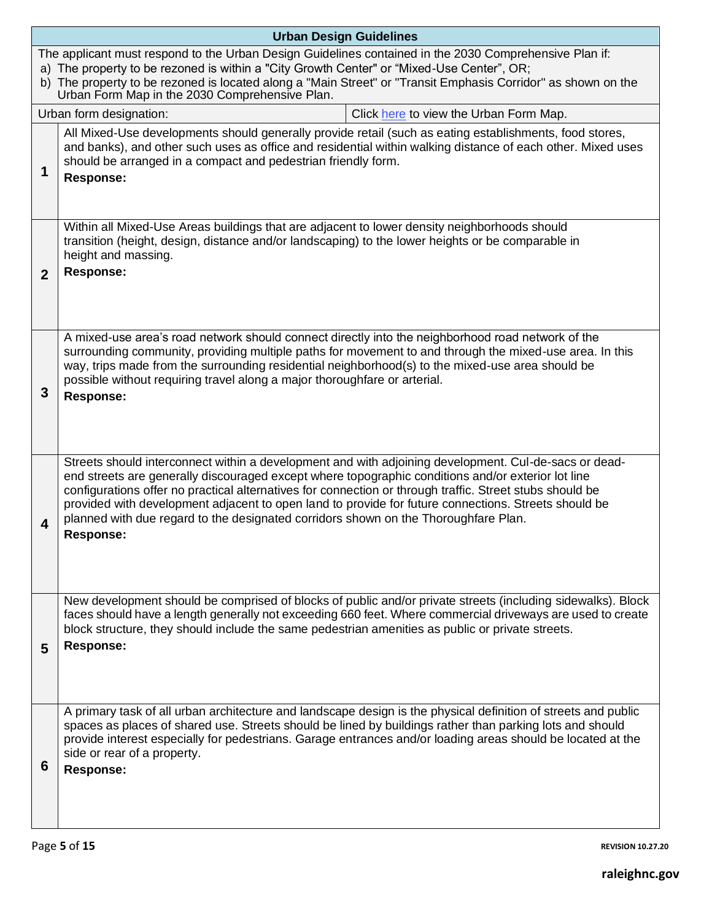|              | <b>Urban Design Guidelines</b>                                                                                                                                                                                                                                                                                                                                                                                                                                                                                                             |
|--------------|--------------------------------------------------------------------------------------------------------------------------------------------------------------------------------------------------------------------------------------------------------------------------------------------------------------------------------------------------------------------------------------------------------------------------------------------------------------------------------------------------------------------------------------------|
|              | The applicant must respond to the Urban Design Guidelines contained in the 2030 Comprehensive Plan if:<br>a) The property to be rezoned is within a "City Growth Center" or "Mixed-Use Center", OR;<br>b) The property to be rezoned is located along a "Main Street" or "Transit Emphasis Corridor" as shown on the<br>Urban Form Map in the 2030 Comprehensive Plan.                                                                                                                                                                     |
|              | Click here to view the Urban Form Map.<br>Urban form designation:                                                                                                                                                                                                                                                                                                                                                                                                                                                                          |
| 1            | All Mixed-Use developments should generally provide retail (such as eating establishments, food stores,<br>and banks), and other such uses as office and residential within walking distance of each other. Mixed uses<br>should be arranged in a compact and pedestrian friendly form.<br><b>Response:</b>                                                                                                                                                                                                                                |
| $\mathbf{2}$ | Within all Mixed-Use Areas buildings that are adjacent to lower density neighborhoods should<br>transition (height, design, distance and/or landscaping) to the lower heights or be comparable in<br>height and massing.<br><b>Response:</b>                                                                                                                                                                                                                                                                                               |
| 3            | A mixed-use area's road network should connect directly into the neighborhood road network of the<br>surrounding community, providing multiple paths for movement to and through the mixed-use area. In this<br>way, trips made from the surrounding residential neighborhood(s) to the mixed-use area should be<br>possible without requiring travel along a major thoroughfare or arterial.<br><b>Response:</b>                                                                                                                          |
| 4            | Streets should interconnect within a development and with adjoining development. Cul-de-sacs or dead-<br>end streets are generally discouraged except where topographic conditions and/or exterior lot line<br>configurations offer no practical alternatives for connection or through traffic. Street stubs should be<br>provided with development adjacent to open land to provide for future connections. Streets should be<br>planned with due regard to the designated corridors shown on the Thoroughfare Plan.<br><b>Response:</b> |
| 5            | New development should be comprised of blocks of public and/or private streets (including sidewalks). Block<br>faces should have a length generally not exceeding 660 feet. Where commercial driveways are used to create<br>block structure, they should include the same pedestrian amenities as public or private streets.<br><b>Response:</b>                                                                                                                                                                                          |
| 6            | A primary task of all urban architecture and landscape design is the physical definition of streets and public<br>spaces as places of shared use. Streets should be lined by buildings rather than parking lots and should<br>provide interest especially for pedestrians. Garage entrances and/or loading areas should be located at the<br>side or rear of a property.<br><b>Response:</b>                                                                                                                                               |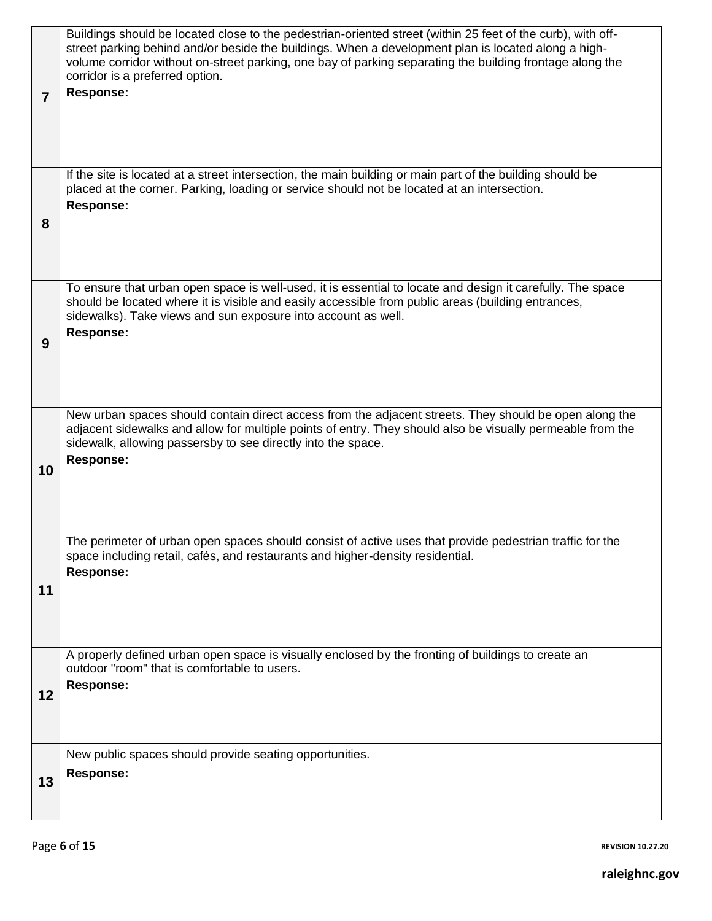| 7  | Buildings should be located close to the pedestrian-oriented street (within 25 feet of the curb), with off-<br>street parking behind and/or beside the buildings. When a development plan is located along a high-<br>volume corridor without on-street parking, one bay of parking separating the building frontage along the<br>corridor is a preferred option.<br>Response: |
|----|--------------------------------------------------------------------------------------------------------------------------------------------------------------------------------------------------------------------------------------------------------------------------------------------------------------------------------------------------------------------------------|
| 8  | If the site is located at a street intersection, the main building or main part of the building should be<br>placed at the corner. Parking, loading or service should not be located at an intersection.<br><b>Response:</b>                                                                                                                                                   |
| 9  | To ensure that urban open space is well-used, it is essential to locate and design it carefully. The space<br>should be located where it is visible and easily accessible from public areas (building entrances,<br>sidewalks). Take views and sun exposure into account as well.<br><b>Response:</b>                                                                          |
| 10 | New urban spaces should contain direct access from the adjacent streets. They should be open along the<br>adjacent sidewalks and allow for multiple points of entry. They should also be visually permeable from the<br>sidewalk, allowing passersby to see directly into the space.<br><b>Response:</b>                                                                       |
| 11 | The perimeter of urban open spaces should consist of active uses that provide pedestrian traffic for the<br>space including retail, cafés, and restaurants and higher-density residential.<br><b>Response:</b>                                                                                                                                                                 |
| 12 | A properly defined urban open space is visually enclosed by the fronting of buildings to create an<br>outdoor "room" that is comfortable to users.<br><b>Response:</b>                                                                                                                                                                                                         |
| 13 | New public spaces should provide seating opportunities.<br><b>Response:</b>                                                                                                                                                                                                                                                                                                    |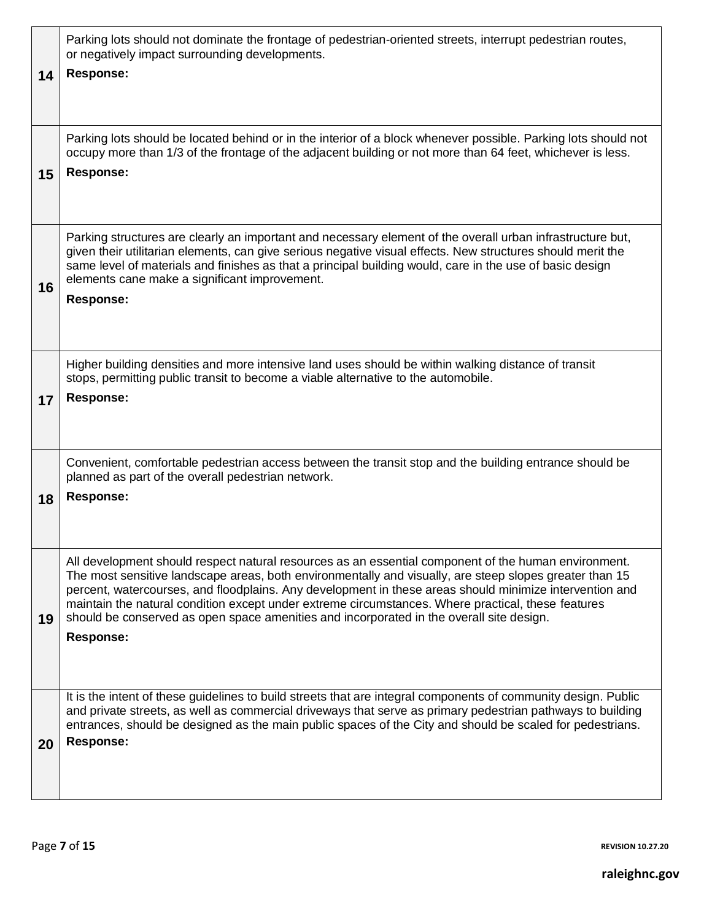| 14 | Parking lots should not dominate the frontage of pedestrian-oriented streets, interrupt pedestrian routes,<br>or negatively impact surrounding developments.<br><b>Response:</b>                                                                                                                                                                                                                                                                                                                                                                 |
|----|--------------------------------------------------------------------------------------------------------------------------------------------------------------------------------------------------------------------------------------------------------------------------------------------------------------------------------------------------------------------------------------------------------------------------------------------------------------------------------------------------------------------------------------------------|
| 15 | Parking lots should be located behind or in the interior of a block whenever possible. Parking lots should not<br>occupy more than 1/3 of the frontage of the adjacent building or not more than 64 feet, whichever is less.<br><b>Response:</b>                                                                                                                                                                                                                                                                                                 |
| 16 | Parking structures are clearly an important and necessary element of the overall urban infrastructure but,<br>given their utilitarian elements, can give serious negative visual effects. New structures should merit the<br>same level of materials and finishes as that a principal building would, care in the use of basic design<br>elements cane make a significant improvement.<br><b>Response:</b>                                                                                                                                       |
| 17 | Higher building densities and more intensive land uses should be within walking distance of transit<br>stops, permitting public transit to become a viable alternative to the automobile.<br><b>Response:</b>                                                                                                                                                                                                                                                                                                                                    |
| 18 | Convenient, comfortable pedestrian access between the transit stop and the building entrance should be<br>planned as part of the overall pedestrian network.<br><b>Response:</b>                                                                                                                                                                                                                                                                                                                                                                 |
| 19 | All development should respect natural resources as an essential component of the human environment.<br>The most sensitive landscape areas, both environmentally and visually, are steep slopes greater than 15<br>percent, watercourses, and floodplains. Any development in these areas should minimize intervention and<br>maintain the natural condition except under extreme circumstances. Where practical, these features<br>should be conserved as open space amenities and incorporated in the overall site design.<br><b>Response:</b> |
| 20 | It is the intent of these guidelines to build streets that are integral components of community design. Public<br>and private streets, as well as commercial driveways that serve as primary pedestrian pathways to building<br>entrances, should be designed as the main public spaces of the City and should be scaled for pedestrians.<br><b>Response:</b>                                                                                                                                                                                    |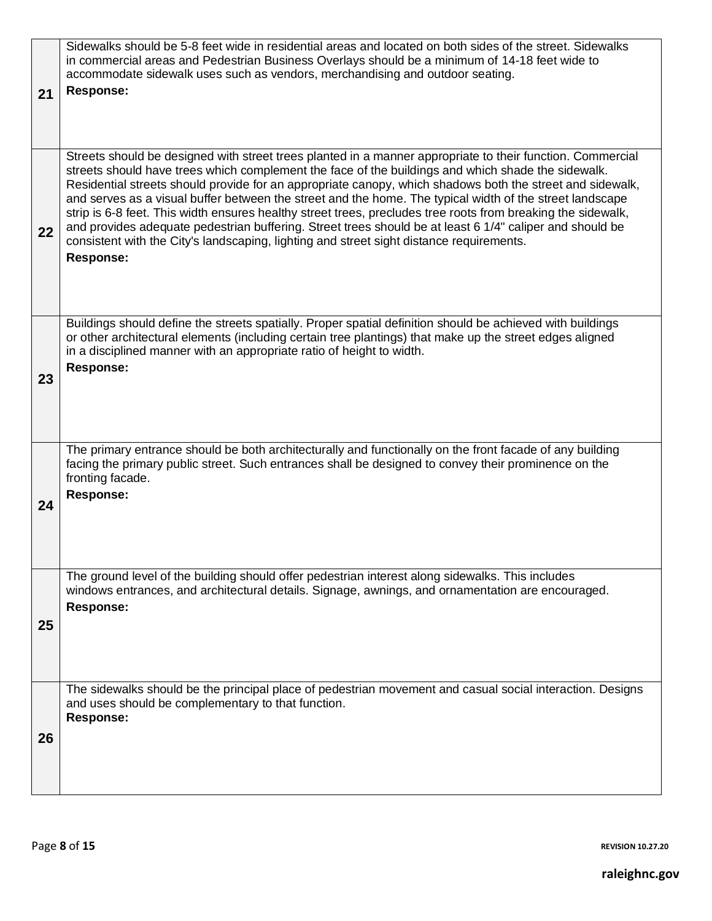|    | Sidewalks should be 5-8 feet wide in residential areas and located on both sides of the street. Sidewalks<br>in commercial areas and Pedestrian Business Overlays should be a minimum of 14-18 feet wide to<br>accommodate sidewalk uses such as vendors, merchandising and outdoor seating.                                                                                                                                                                                                                                                                                                                                                                                                                                                                                          |
|----|---------------------------------------------------------------------------------------------------------------------------------------------------------------------------------------------------------------------------------------------------------------------------------------------------------------------------------------------------------------------------------------------------------------------------------------------------------------------------------------------------------------------------------------------------------------------------------------------------------------------------------------------------------------------------------------------------------------------------------------------------------------------------------------|
| 21 | <b>Response:</b>                                                                                                                                                                                                                                                                                                                                                                                                                                                                                                                                                                                                                                                                                                                                                                      |
| 22 | Streets should be designed with street trees planted in a manner appropriate to their function. Commercial<br>streets should have trees which complement the face of the buildings and which shade the sidewalk.<br>Residential streets should provide for an appropriate canopy, which shadows both the street and sidewalk,<br>and serves as a visual buffer between the street and the home. The typical width of the street landscape<br>strip is 6-8 feet. This width ensures healthy street trees, precludes tree roots from breaking the sidewalk,<br>and provides adequate pedestrian buffering. Street trees should be at least 6 1/4" caliper and should be<br>consistent with the City's landscaping, lighting and street sight distance requirements.<br><b>Response:</b> |
| 23 | Buildings should define the streets spatially. Proper spatial definition should be achieved with buildings<br>or other architectural elements (including certain tree plantings) that make up the street edges aligned<br>in a disciplined manner with an appropriate ratio of height to width.<br><b>Response:</b>                                                                                                                                                                                                                                                                                                                                                                                                                                                                   |
| 24 | The primary entrance should be both architecturally and functionally on the front facade of any building<br>facing the primary public street. Such entrances shall be designed to convey their prominence on the<br>fronting facade.<br><b>Response:</b>                                                                                                                                                                                                                                                                                                                                                                                                                                                                                                                              |
| 25 | The ground level of the building should offer pedestrian interest along sidewalks. This includes<br>windows entrances, and architectural details. Signage, awnings, and ornamentation are encouraged.<br><b>Response:</b>                                                                                                                                                                                                                                                                                                                                                                                                                                                                                                                                                             |
| 26 | The sidewalks should be the principal place of pedestrian movement and casual social interaction. Designs<br>and uses should be complementary to that function.<br><b>Response:</b>                                                                                                                                                                                                                                                                                                                                                                                                                                                                                                                                                                                                   |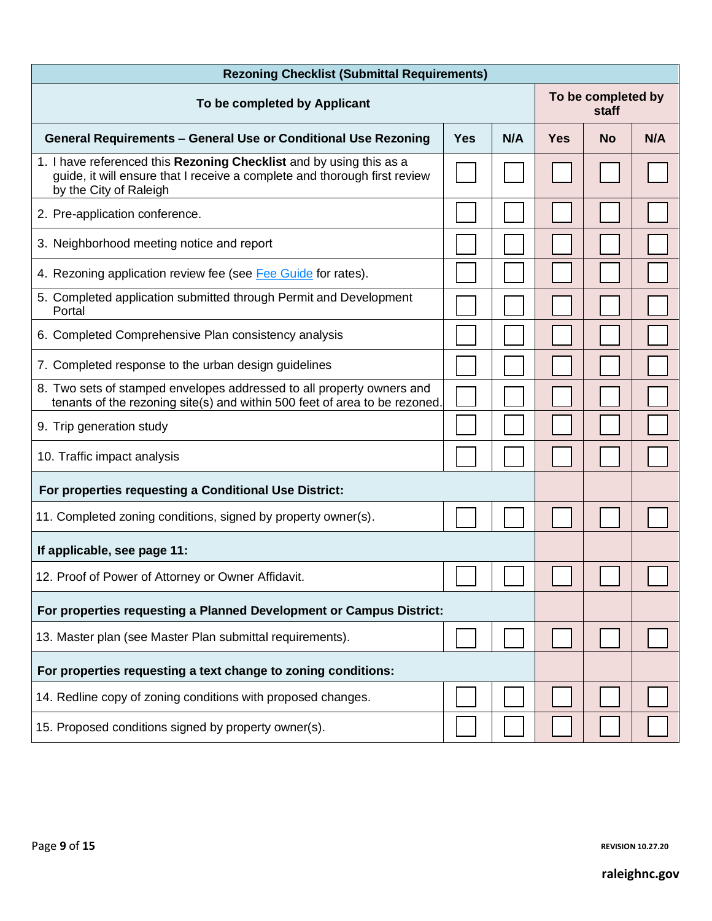| <b>Rezoning Checklist (Submittal Requirements)</b>                                                                                                                         |            |     |                             |           |     |
|----------------------------------------------------------------------------------------------------------------------------------------------------------------------------|------------|-----|-----------------------------|-----------|-----|
| To be completed by Applicant                                                                                                                                               |            |     | To be completed by<br>staff |           |     |
| <b>General Requirements - General Use or Conditional Use Rezoning</b>                                                                                                      | <b>Yes</b> | N/A | <b>Yes</b>                  | <b>No</b> | N/A |
| 1. I have referenced this Rezoning Checklist and by using this as a<br>guide, it will ensure that I receive a complete and thorough first review<br>by the City of Raleigh |            |     |                             |           |     |
| 2. Pre-application conference.                                                                                                                                             |            |     |                             |           |     |
| 3. Neighborhood meeting notice and report                                                                                                                                  |            |     |                             |           |     |
| 4. Rezoning application review fee (see Fee Guide for rates).                                                                                                              |            |     |                             |           |     |
| 5. Completed application submitted through Permit and Development<br>Portal                                                                                                |            |     |                             |           |     |
| 6. Completed Comprehensive Plan consistency analysis                                                                                                                       |            |     |                             |           |     |
| 7. Completed response to the urban design guidelines                                                                                                                       |            |     |                             |           |     |
| 8. Two sets of stamped envelopes addressed to all property owners and<br>tenants of the rezoning site(s) and within 500 feet of area to be rezoned.                        |            |     |                             |           |     |
| 9. Trip generation study                                                                                                                                                   |            |     |                             |           |     |
| 10. Traffic impact analysis                                                                                                                                                |            |     |                             |           |     |
| For properties requesting a Conditional Use District:                                                                                                                      |            |     |                             |           |     |
| 11. Completed zoning conditions, signed by property owner(s).                                                                                                              |            |     |                             |           |     |
| If applicable, see page 11:                                                                                                                                                |            |     |                             |           |     |
| 12. Proof of Power of Attorney or Owner Affidavit.                                                                                                                         |            |     |                             |           |     |
| For properties requesting a Planned Development or Campus District:                                                                                                        |            |     |                             |           |     |
| 13. Master plan (see Master Plan submittal requirements).                                                                                                                  |            |     |                             |           |     |
| For properties requesting a text change to zoning conditions:                                                                                                              |            |     |                             |           |     |
| 14. Redline copy of zoning conditions with proposed changes.                                                                                                               |            |     |                             |           |     |
| 15. Proposed conditions signed by property owner(s).                                                                                                                       |            |     |                             |           |     |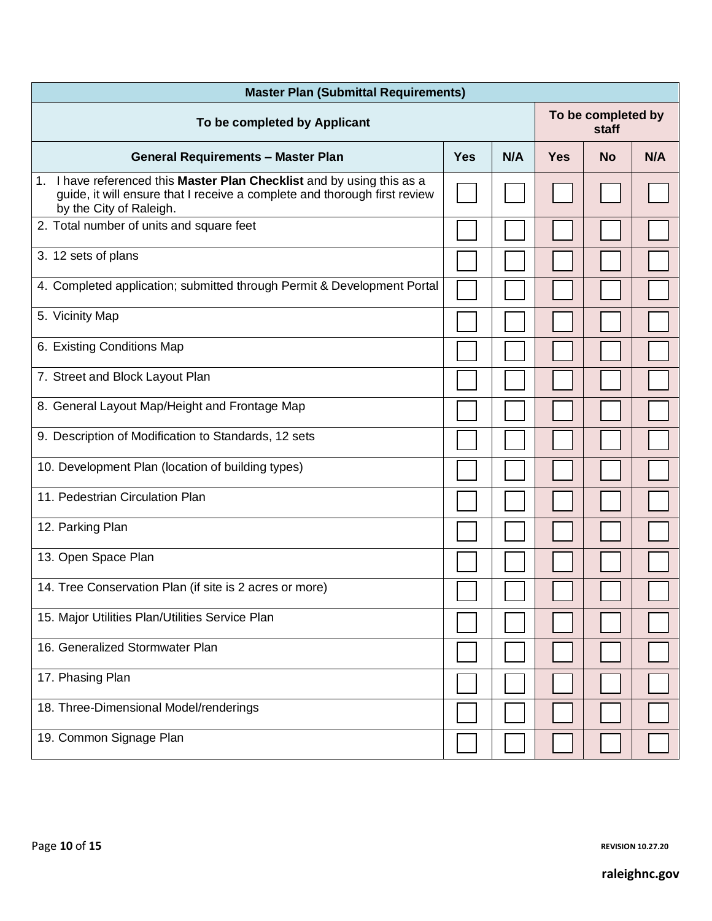| <b>Master Plan (Submittal Requirements)</b>                                                                                                                                    |            |     |                             |           |     |
|--------------------------------------------------------------------------------------------------------------------------------------------------------------------------------|------------|-----|-----------------------------|-----------|-----|
| To be completed by Applicant                                                                                                                                                   |            |     | To be completed by<br>staff |           |     |
| <b>General Requirements - Master Plan</b>                                                                                                                                      | <b>Yes</b> | N/A | <b>Yes</b>                  | <b>No</b> | N/A |
| 1. I have referenced this Master Plan Checklist and by using this as a<br>guide, it will ensure that I receive a complete and thorough first review<br>by the City of Raleigh. |            |     |                             |           |     |
| 2. Total number of units and square feet                                                                                                                                       |            |     |                             |           |     |
| 3. 12 sets of plans                                                                                                                                                            |            |     |                             |           |     |
| 4. Completed application; submitted through Permit & Development Portal                                                                                                        |            |     |                             |           |     |
| 5. Vicinity Map                                                                                                                                                                |            |     |                             |           |     |
| 6. Existing Conditions Map                                                                                                                                                     |            |     |                             |           |     |
| 7. Street and Block Layout Plan                                                                                                                                                |            |     |                             |           |     |
| 8. General Layout Map/Height and Frontage Map                                                                                                                                  |            |     |                             |           |     |
| 9. Description of Modification to Standards, 12 sets                                                                                                                           |            |     |                             |           |     |
| 10. Development Plan (location of building types)                                                                                                                              |            |     |                             |           |     |
| 11. Pedestrian Circulation Plan                                                                                                                                                |            |     |                             |           |     |
| 12. Parking Plan                                                                                                                                                               |            |     |                             |           |     |
| 13. Open Space Plan                                                                                                                                                            |            |     |                             |           |     |
| 14. Tree Conservation Plan (if site is 2 acres or more)                                                                                                                        |            |     |                             |           |     |
| 15. Major Utilities Plan/Utilities Service Plan                                                                                                                                |            |     |                             |           |     |
| 16. Generalized Stormwater Plan                                                                                                                                                |            |     |                             |           |     |
| 17. Phasing Plan                                                                                                                                                               |            |     |                             |           |     |
| 18. Three-Dimensional Model/renderings                                                                                                                                         |            |     |                             |           |     |
| 19. Common Signage Plan                                                                                                                                                        |            |     |                             |           |     |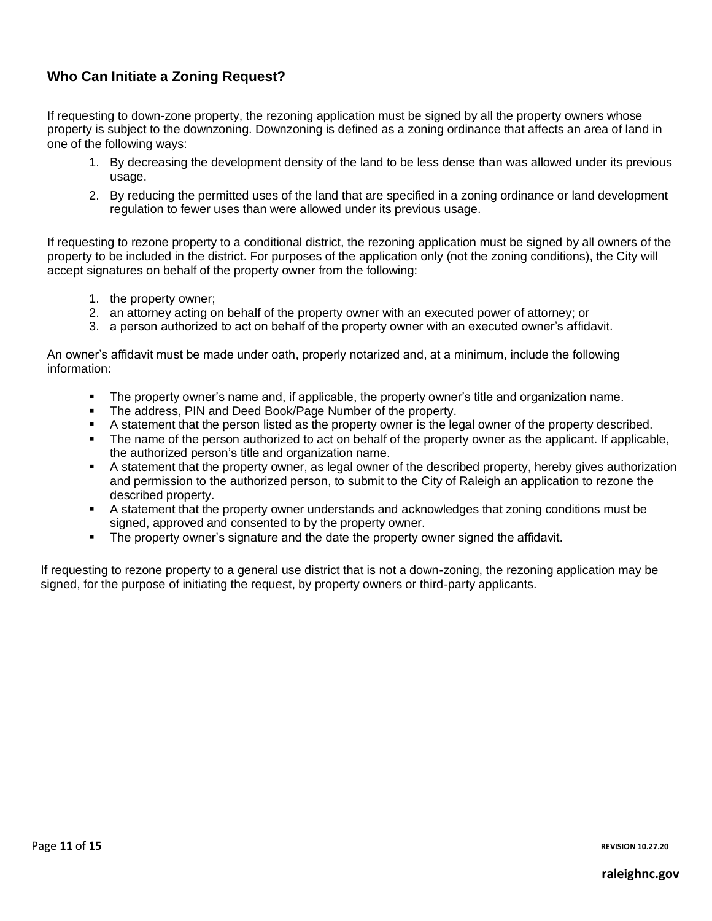## **Who Can Initiate a Zoning Request?**

If requesting to down-zone property, the rezoning application must be signed by all the property owners whose property is subject to the downzoning. Downzoning is defined as a zoning ordinance that affects an area of land in one of the following ways:

- 1. By decreasing the development density of the land to be less dense than was allowed under its previous usage.
- 2. By reducing the permitted uses of the land that are specified in a zoning ordinance or land development regulation to fewer uses than were allowed under its previous usage.

If requesting to rezone property to a conditional district, the rezoning application must be signed by all owners of the property to be included in the district. For purposes of the application only (not the zoning conditions), the City will accept signatures on behalf of the property owner from the following:

- 1. the property owner;
- 2. an attorney acting on behalf of the property owner with an executed power of attorney; or
- 3. a person authorized to act on behalf of the property owner with an executed owner's affidavit.

An owner's affidavit must be made under oath, properly notarized and, at a minimum, include the following information:

- The property owner's name and, if applicable, the property owner's title and organization name.
- The address, PIN and Deed Book/Page Number of the property.
- A statement that the person listed as the property owner is the legal owner of the property described.
- The name of the person authorized to act on behalf of the property owner as the applicant. If applicable, the authorized person's title and organization name.
- A statement that the property owner, as legal owner of the described property, hereby gives authorization and permission to the authorized person, to submit to the City of Raleigh an application to rezone the described property.
- A statement that the property owner understands and acknowledges that zoning conditions must be signed, approved and consented to by the property owner.
- **•** The property owner's signature and the date the property owner signed the affidavit.

If requesting to rezone property to a general use district that is not a down-zoning, the rezoning application may be signed, for the purpose of initiating the request, by property owners or third-party applicants.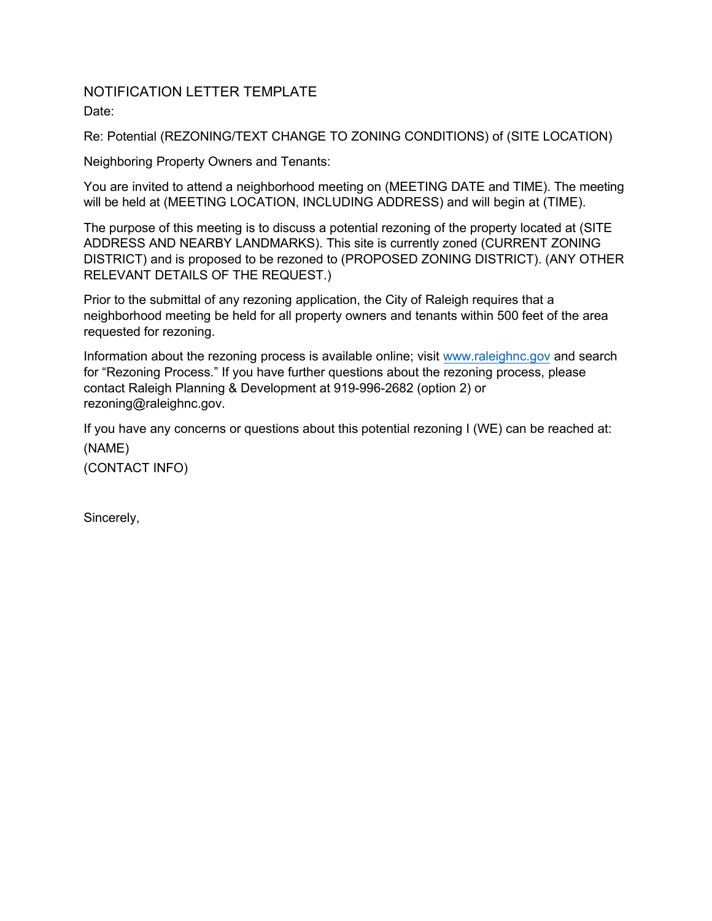## NOTIFICATION LETTER TEMPLATE Date:

Re: Potential (REZONING/TEXT CHANGE TO ZONING CONDITIONS) of (SITE LOCATION)

Neighboring Property Owners and Tenants:

You are invited to attend a neighborhood meeting on (MEETING DATE and TIME). The meeting will be held at (MEETING LOCATION, INCLUDING ADDRESS) and will begin at (TIME).

The purpose of this meeting is to discuss a potential rezoning of the property located at (SITE ADDRESS AND NEARBY LANDMARKS). This site is currently zoned (CURRENT ZONING DISTRICT) and is proposed to be rezoned to (PROPOSED ZONING DISTRICT). (ANY OTHER RELEVANT DETAILS OF THE REQUEST.)

Prior to the submittal of any rezoning application, the City of Raleigh requires that a neighborhood meeting be held for all property owners and tenants within 500 feet of the area requested for rezoning.

Information about the rezoning process is available online; visit [www.raleighnc.gov](http://www.raleighnc.gov) and search for "Rezoning Process." If you have further questions about the rezoning process, please contact Raleigh Planning & Development at 919-996-2682 (option 2) or rezoning@raleighnc.gov.

If you have any concerns or questions about this potential rezoning I (WE) can be reached at: (NAME)

(CONTACT INFO)

Sincerely,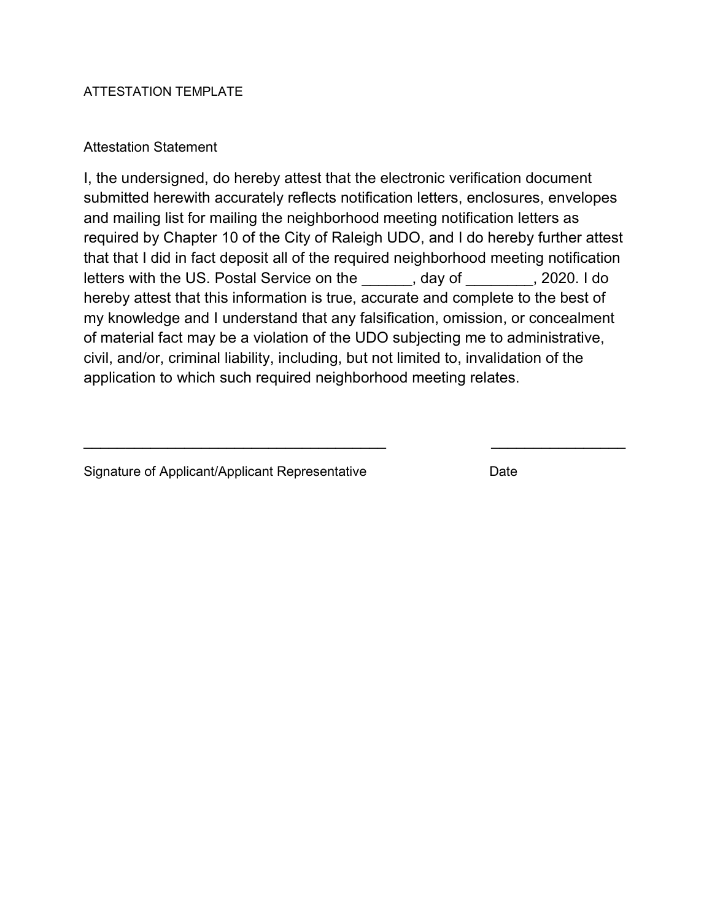#### ATTESTATION TEMPLATE

#### Attestation Statement

I, the undersigned, do hereby attest that the electronic verification document submitted herewith accurately reflects notification letters, enclosures, envelopes and mailing list for mailing the neighborhood meeting notification letters as required by Chapter 10 of the City of Raleigh UDO, and I do hereby further attest that that I did in fact deposit all of the required neighborhood meeting notification letters with the US. Postal Service on the \_\_\_\_\_\_, day of \_\_\_\_\_\_\_\_, 2020. I do hereby attest that this information is true, accurate and complete to the best of my knowledge and I understand that any falsification, omission, or concealment of material fact may be a violation of the UDO subjecting me to administrative, civil, and/or, criminal liability, including, but not limited to, invalidation of the application to which such required neighborhood meeting relates.

 $\frac{1}{2}$  ,  $\frac{1}{2}$  ,  $\frac{1}{2}$  ,  $\frac{1}{2}$  ,  $\frac{1}{2}$  ,  $\frac{1}{2}$  ,  $\frac{1}{2}$  ,  $\frac{1}{2}$  ,  $\frac{1}{2}$  ,  $\frac{1}{2}$  ,  $\frac{1}{2}$  ,  $\frac{1}{2}$  ,  $\frac{1}{2}$  ,  $\frac{1}{2}$  ,  $\frac{1}{2}$  ,  $\frac{1}{2}$  ,  $\frac{1}{2}$  ,  $\frac{1}{2}$  ,  $\frac{1$ 

Signature of Applicant/Applicant Representative Date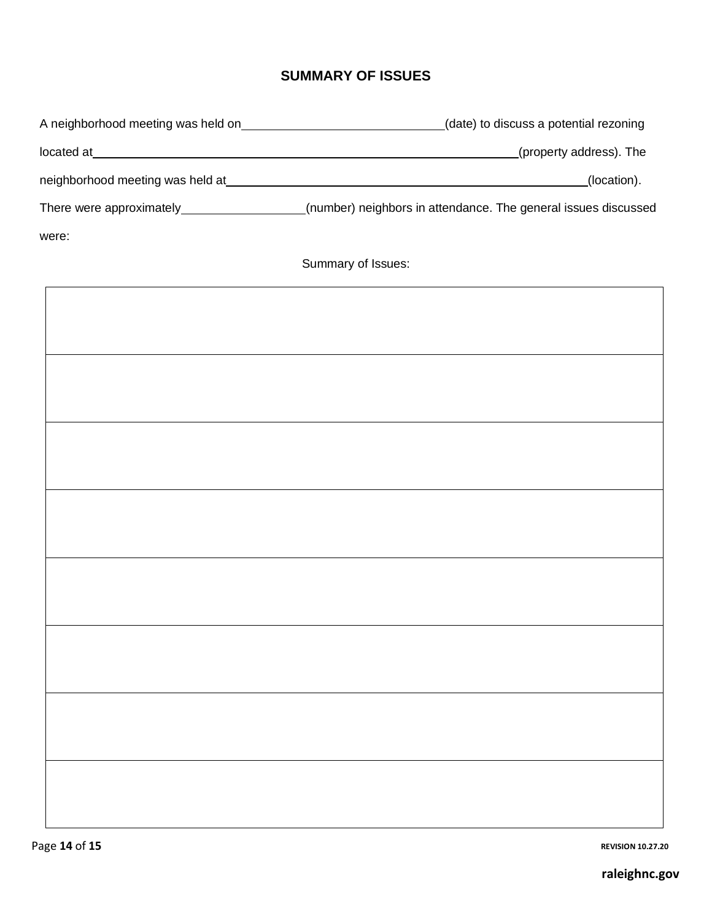# **SUMMARY OF ISSUES**

|       | A neighborhood meeting was held on________________________________(date) to discuss a potential rezoning  |
|-------|-----------------------------------------------------------------------------------------------------------|
|       |                                                                                                           |
|       | (location).                                                                                               |
|       | There were approximately___________________(number) neighbors in attendance. The general issues discussed |
| were: |                                                                                                           |
|       | Summary of Issues:                                                                                        |
|       |                                                                                                           |
|       |                                                                                                           |
|       |                                                                                                           |
|       |                                                                                                           |
|       |                                                                                                           |
|       |                                                                                                           |
|       |                                                                                                           |
|       |                                                                                                           |
|       |                                                                                                           |
|       |                                                                                                           |
|       |                                                                                                           |
|       |                                                                                                           |
|       |                                                                                                           |
|       |                                                                                                           |
|       |                                                                                                           |
|       |                                                                                                           |
|       |                                                                                                           |
|       |                                                                                                           |
|       |                                                                                                           |